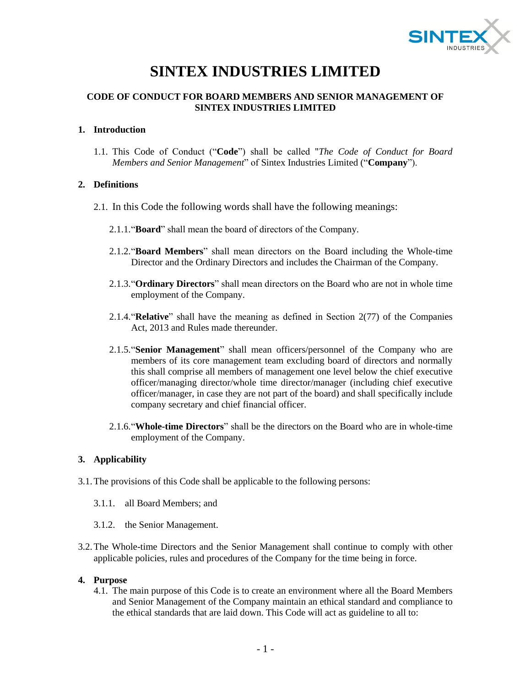

# **SINTEX INDUSTRIES LIMITED**

# **CODE OF CONDUCT FOR BOARD MEMBERS AND SENIOR MANAGEMENT OF SINTEX INDUSTRIES LIMITED**

## **1. Introduction**

1.1. This Code of Conduct ("**Code**") shall be called "*The Code of Conduct for Board Members and Senior Management*" of Sintex Industries Limited ("**Company**").

# **2. Definitions**

- 2.1. In this Code the following words shall have the following meanings:
	- 2.1.1."**Board**" shall mean the board of directors of the Company.
	- 2.1.2."**Board Members**" shall mean directors on the Board including the Whole-time Director and the Ordinary Directors and includes the Chairman of the Company.
	- 2.1.3."**Ordinary Directors**" shall mean directors on the Board who are not in whole time employment of the Company.
	- 2.1.4."**Relative**" shall have the meaning as defined in Section 2(77) of the Companies Act, 2013 and Rules made thereunder.
	- 2.1.5."**Senior Management**" shall mean officers/personnel of the Company who are members of its core management team excluding board of directors and normally this shall comprise all members of management one level below the chief executive officer/managing director/whole time director/manager (including chief executive officer/manager, in case they are not part of the board) and shall specifically include company secretary and chief financial officer.
	- 2.1.6."**Whole-time Directors**" shall be the directors on the Board who are in whole-time employment of the Company.

# **3. Applicability**

- 3.1.The provisions of this Code shall be applicable to the following persons:
	- 3.1.1. all Board Members; and
	- 3.1.2. the Senior Management.
- 3.2.The Whole-time Directors and the Senior Management shall continue to comply with other applicable policies, rules and procedures of the Company for the time being in force.

## **4. Purpose**

4.1. The main purpose of this Code is to create an environment where all the Board Members and Senior Management of the Company maintain an ethical standard and compliance to the ethical standards that are laid down. This Code will act as guideline to all to: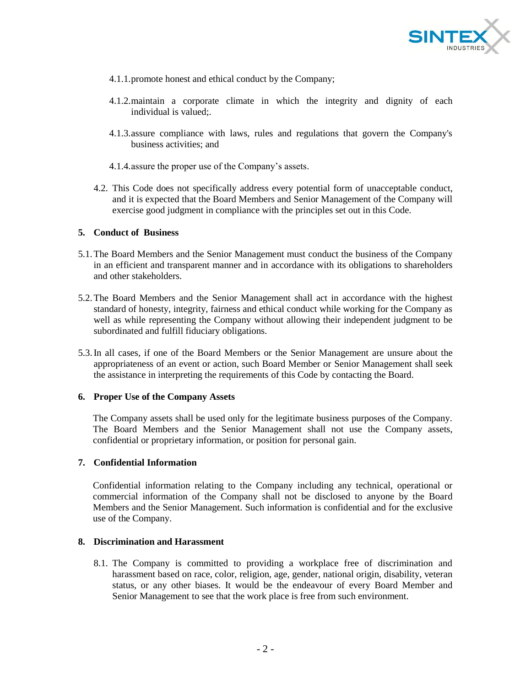

- 4.1.1.promote honest and ethical conduct by the Company;
- 4.1.2.maintain a corporate climate in which the integrity and dignity of each individual is valued;.
- 4.1.3.assure compliance with laws, rules and regulations that govern the Company's business activities; and
- 4.1.4.assure the proper use of the Company's assets.
- 4.2. This Code does not specifically address every potential form of unacceptable conduct, and it is expected that the Board Members and Senior Management of the Company will exercise good judgment in compliance with the principles set out in this Code.

#### **5. Conduct of Business**

- 5.1.The Board Members and the Senior Management must conduct the business of the Company in an efficient and transparent manner and in accordance with its obligations to shareholders and other stakeholders.
- 5.2.The Board Members and the Senior Management shall act in accordance with the highest standard of honesty, integrity, fairness and ethical conduct while working for the Company as well as while representing the Company without allowing their independent judgment to be subordinated and fulfill fiduciary obligations.
- 5.3.In all cases, if one of the Board Members or the Senior Management are unsure about the appropriateness of an event or action, such Board Member or Senior Management shall seek the assistance in interpreting the requirements of this Code by contacting the Board.

#### **6. Proper Use of the Company Assets**

The Company assets shall be used only for the legitimate business purposes of the Company. The Board Members and the Senior Management shall not use the Company assets, confidential or proprietary information, or position for personal gain.

#### **7. Confidential Information**

Confidential information relating to the Company including any technical, operational or commercial information of the Company shall not be disclosed to anyone by the Board Members and the Senior Management. Such information is confidential and for the exclusive use of the Company.

#### **8. Discrimination and Harassment**

8.1. The Company is committed to providing a workplace free of discrimination and harassment based on race, color, religion, age, gender, national origin, disability, veteran status, or any other biases. It would be the endeavour of every Board Member and Senior Management to see that the work place is free from such environment.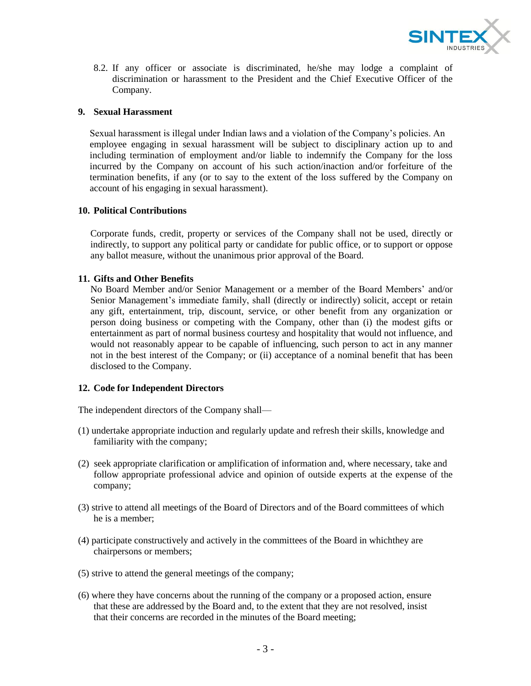

8.2. If any officer or associate is discriminated, he/she may lodge a complaint of discrimination or harassment to the President and the Chief Executive Officer of the Company.

## **9. Sexual Harassment**

Sexual harassment is illegal under Indian laws and a violation of the Company's policies. An employee engaging in sexual harassment will be subject to disciplinary action up to and including termination of employment and/or liable to indemnify the Company for the loss incurred by the Company on account of his such action/inaction and/or forfeiture of the termination benefits, if any (or to say to the extent of the loss suffered by the Company on account of his engaging in sexual harassment).

## **10. Political Contributions**

Corporate funds, credit, property or services of the Company shall not be used, directly or indirectly, to support any political party or candidate for public office, or to support or oppose any ballot measure, without the unanimous prior approval of the Board.

# **11. Gifts and Other Benefits**

No Board Member and/or Senior Management or a member of the Board Members' and/or Senior Management's immediate family, shall (directly or indirectly) solicit, accept or retain any gift, entertainment, trip, discount, service, or other benefit from any organization or person doing business or competing with the Company, other than (i) the modest gifts or entertainment as part of normal business courtesy and hospitality that would not influence, and would not reasonably appear to be capable of influencing, such person to act in any manner not in the best interest of the Company; or (ii) acceptance of a nominal benefit that has been disclosed to the Company.

## **12. Code for Independent Directors**

The independent directors of the Company shall—

- (1) undertake appropriate induction and regularly update and refresh their skills, knowledge and familiarity with the company;
- (2) seek appropriate clarification or amplification of information and, where necessary, take and follow appropriate professional advice and opinion of outside experts at the expense of the company;
- (3) strive to attend all meetings of the Board of Directors and of the Board committees of which he is a member;
- (4) participate constructively and actively in the committees of the Board in whichthey are chairpersons or members;
- (5) strive to attend the general meetings of the company;
- (6) where they have concerns about the running of the company or a proposed action, ensure that these are addressed by the Board and, to the extent that they are not resolved, insist that their concerns are recorded in the minutes of the Board meeting;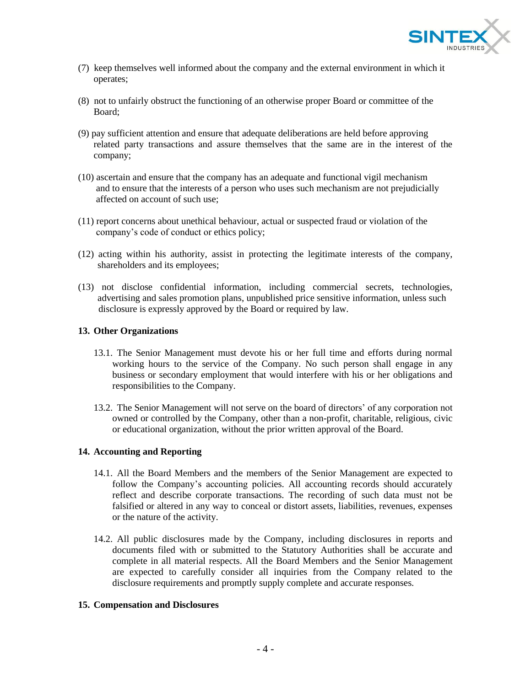

- (7) keep themselves well informed about the company and the external environment in which it operates;
- (8) not to unfairly obstruct the functioning of an otherwise proper Board or committee of the Board;
- (9) pay sufficient attention and ensure that adequate deliberations are held before approving related party transactions and assure themselves that the same are in the interest of the company;
- (10) ascertain and ensure that the company has an adequate and functional vigil mechanism and to ensure that the interests of a person who uses such mechanism are not prejudicially affected on account of such use;
- (11) report concerns about unethical behaviour, actual or suspected fraud or violation of the company's code of conduct or ethics policy;
- (12) acting within his authority, assist in protecting the legitimate interests of the company, shareholders and its employees;
- (13) not disclose confidential information, including commercial secrets, technologies, advertising and sales promotion plans, unpublished price sensitive information, unless such disclosure is expressly approved by the Board or required by law.

## **13. Other Organizations**

- 13.1. The Senior Management must devote his or her full time and efforts during normal working hours to the service of the Company. No such person shall engage in any business or secondary employment that would interfere with his or her obligations and responsibilities to the Company.
- 13.2. The Senior Management will not serve on the board of directors' of any corporation not owned or controlled by the Company, other than a non-profit, charitable, religious, civic or educational organization, without the prior written approval of the Board.

#### **14. Accounting and Reporting**

- 14.1. All the Board Members and the members of the Senior Management are expected to follow the Company's accounting policies. All accounting records should accurately reflect and describe corporate transactions. The recording of such data must not be falsified or altered in any way to conceal or distort assets, liabilities, revenues, expenses or the nature of the activity.
- 14.2. All public disclosures made by the Company, including disclosures in reports and documents filed with or submitted to the Statutory Authorities shall be accurate and complete in all material respects. All the Board Members and the Senior Management are expected to carefully consider all inquiries from the Company related to the disclosure requirements and promptly supply complete and accurate responses.

## **15. Compensation and Disclosures**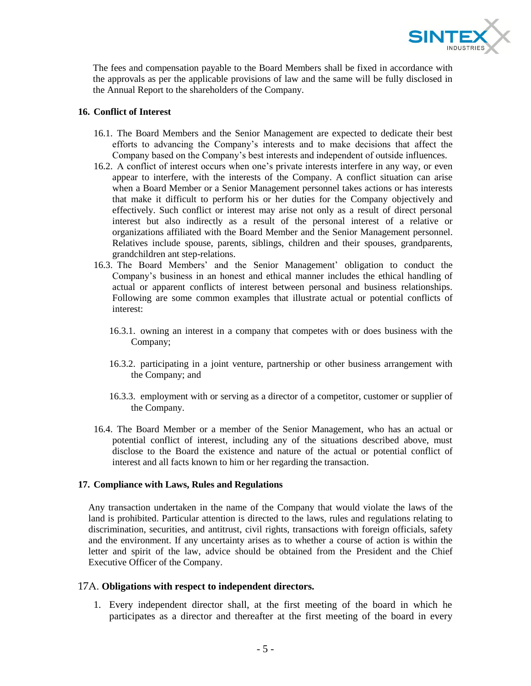

The fees and compensation payable to the Board Members shall be fixed in accordance with the approvals as per the applicable provisions of law and the same will be fully disclosed in the Annual Report to the shareholders of the Company.

# **16. Conflict of Interest**

- 16.1. The Board Members and the Senior Management are expected to dedicate their best efforts to advancing the Company's interests and to make decisions that affect the Company based on the Company's best interests and independent of outside influences.
- 16.2. A conflict of interest occurs when one's private interests interfere in any way, or even appear to interfere, with the interests of the Company. A conflict situation can arise when a Board Member or a Senior Management personnel takes actions or has interests that make it difficult to perform his or her duties for the Company objectively and effectively. Such conflict or interest may arise not only as a result of direct personal interest but also indirectly as a result of the personal interest of a relative or organizations affiliated with the Board Member and the Senior Management personnel. Relatives include spouse, parents, siblings, children and their spouses, grandparents, grandchildren ant step-relations.
- 16.3. The Board Members' and the Senior Management' obligation to conduct the Company's business in an honest and ethical manner includes the ethical handling of actual or apparent conflicts of interest between personal and business relationships. Following are some common examples that illustrate actual or potential conflicts of interest:
	- 16.3.1. owning an interest in a company that competes with or does business with the Company;
	- 16.3.2. participating in a joint venture, partnership or other business arrangement with the Company; and
	- 16.3.3. employment with or serving as a director of a competitor, customer or supplier of the Company.
- 16.4. The Board Member or a member of the Senior Management, who has an actual or potential conflict of interest, including any of the situations described above, must disclose to the Board the existence and nature of the actual or potential conflict of interest and all facts known to him or her regarding the transaction.

## **17. Compliance with Laws, Rules and Regulations**

Any transaction undertaken in the name of the Company that would violate the laws of the land is prohibited. Particular attention is directed to the laws, rules and regulations relating to discrimination, securities, and antitrust, civil rights, transactions with foreign officials, safety and the environment. If any uncertainty arises as to whether a course of action is within the letter and spirit of the law, advice should be obtained from the President and the Chief Executive Officer of the Company.

## 17A. **Obligations with respect to independent directors.**

1. Every independent director shall, at the first meeting of the board in which he participates as a director and thereafter at the first meeting of the board in every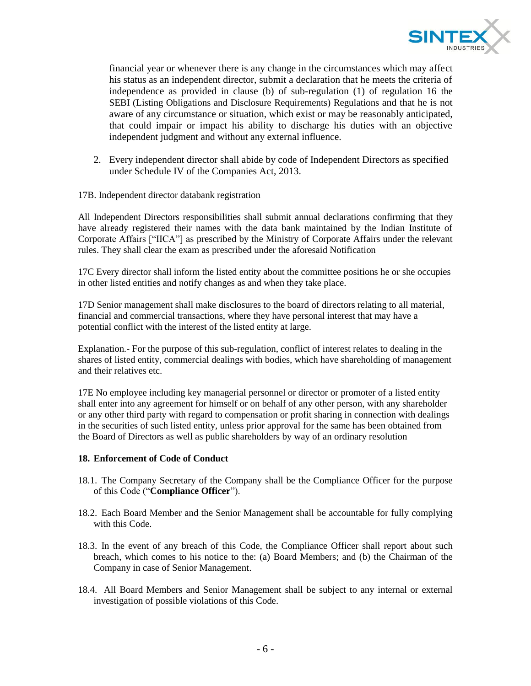

financial year or whenever there is any change in the circumstances which may affect his status as an independent director, submit a declaration that he meets the criteria of independence as provided in clause (b) of sub-regulation (1) of regulation 16 the SEBI (Listing Obligations and Disclosure Requirements) Regulations and that he is not aware of any circumstance or situation, which exist or may be reasonably anticipated, that could impair or impact his ability to discharge his duties with an objective independent judgment and without any external influence.

- 2. Every independent director shall abide by code of Independent Directors as specified under Schedule IV of the Companies Act, 2013.
- 17B. Independent director databank registration

All Independent Directors responsibilities shall submit annual declarations confirming that they have already registered their names with the data bank maintained by the Indian Institute of Corporate Affairs ["IICA"] as prescribed by the Ministry of Corporate Affairs under the relevant rules. They shall clear the exam as prescribed under the aforesaid Notification

17C Every director shall inform the listed entity about the committee positions he or she occupies in other listed entities and notify changes as and when they take place.

17D Senior management shall make disclosures to the board of directors relating to all material, financial and commercial transactions, where they have personal interest that may have a potential conflict with the interest of the listed entity at large.

Explanation*.-* For the purpose of this sub-regulation, conflict of interest relates to dealing in the shares of listed entity, commercial dealings with bodies, which have shareholding of management and their relatives etc.

17E No employee including key managerial personnel or director or promoter of a listed entity shall enter into any agreement for himself or on behalf of any other person, with any shareholder or any other third party with regard to compensation or profit sharing in connection with dealings in the securities of such listed entity, unless prior approval for the same has been obtained from the Board of Directors as well as public shareholders by way of an ordinary resolution

#### **18. Enforcement of Code of Conduct**

- 18.1. The Company Secretary of the Company shall be the Compliance Officer for the purpose of this Code ("**Compliance Officer**").
- 18.2. Each Board Member and the Senior Management shall be accountable for fully complying with this Code.
- 18.3. In the event of any breach of this Code, the Compliance Officer shall report about such breach, which comes to his notice to the: (a) Board Members; and (b) the Chairman of the Company in case of Senior Management.
- 18.4. All Board Members and Senior Management shall be subject to any internal or external investigation of possible violations of this Code.